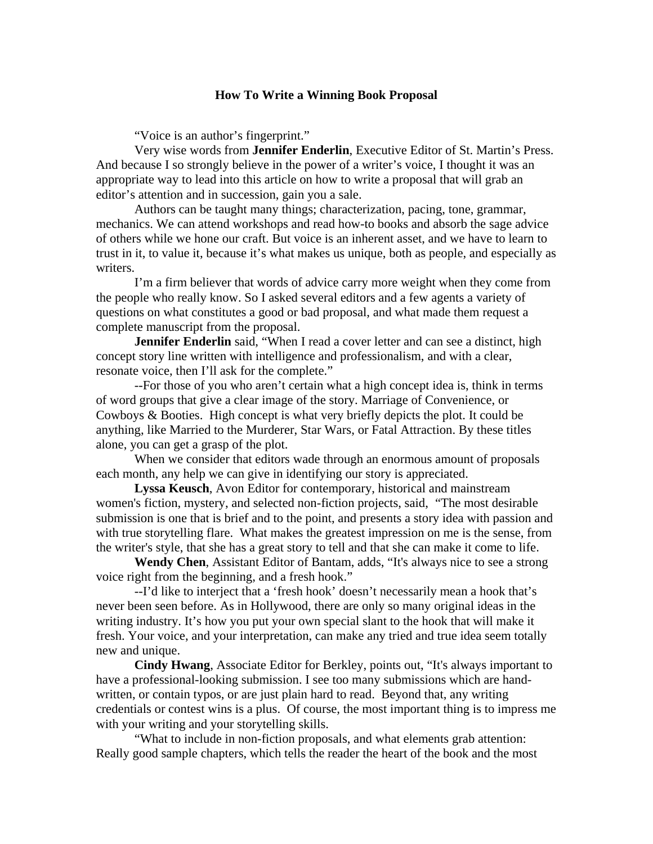## **How To Write a Winning Book Proposal**

"Voice is an author's fingerprint."

Very wise words from **Jennifer Enderlin**, Executive Editor of St. Martin's Press. And because I so strongly believe in the power of a writer's voice, I thought it was an appropriate way to lead into this article on how to write a proposal that will grab an editor's attention and in succession, gain you a sale.

Authors can be taught many things; characterization, pacing, tone, grammar, mechanics. We can attend workshops and read how-to books and absorb the sage advice of others while we hone our craft. But voice is an inherent asset, and we have to learn to trust in it, to value it, because it's what makes us unique, both as people, and especially as writers.

I'm a firm believer that words of advice carry more weight when they come from the people who really know. So I asked several editors and a few agents a variety of questions on what constitutes a good or bad proposal, and what made them request a complete manuscript from the proposal.

**Jennifer Enderlin** said, "When I read a cover letter and can see a distinct, high concept story line written with intelligence and professionalism, and with a clear, resonate voice, then I'll ask for the complete."

--For those of you who aren't certain what a high concept idea is, think in terms of word groups that give a clear image of the story. Marriage of Convenience, or Cowboys & Booties. High concept is what very briefly depicts the plot. It could be anything, like Married to the Murderer, Star Wars, or Fatal Attraction. By these titles alone, you can get a grasp of the plot.

When we consider that editors wade through an enormous amount of proposals each month, any help we can give in identifying our story is appreciated.

**Lyssa Keusch**, Avon Editor for contemporary, historical and mainstream women's fiction, mystery, and selected non-fiction projects, said, "The most desirable submission is one that is brief and to the point, and presents a story idea with passion and with true storytelling flare. What makes the greatest impression on me is the sense, from the writer's style, that she has a great story to tell and that she can make it come to life.

**Wendy Chen**, Assistant Editor of Bantam, adds, "It's always nice to see a strong voice right from the beginning, and a fresh hook."

--I'd like to interject that a 'fresh hook' doesn't necessarily mean a hook that's never been seen before. As in Hollywood, there are only so many original ideas in the writing industry. It's how you put your own special slant to the hook that will make it fresh. Your voice, and your interpretation, can make any tried and true idea seem totally new and unique.

**Cindy Hwang**, Associate Editor for Berkley, points out, "It's always important to have a professional-looking submission. I see too many submissions which are handwritten, or contain typos, or are just plain hard to read. Beyond that, any writing credentials or contest wins is a plus. Of course, the most important thing is to impress me with your writing and your storytelling skills.

"What to include in non-fiction proposals, and what elements grab attention: Really good sample chapters, which tells the reader the heart of the book and the most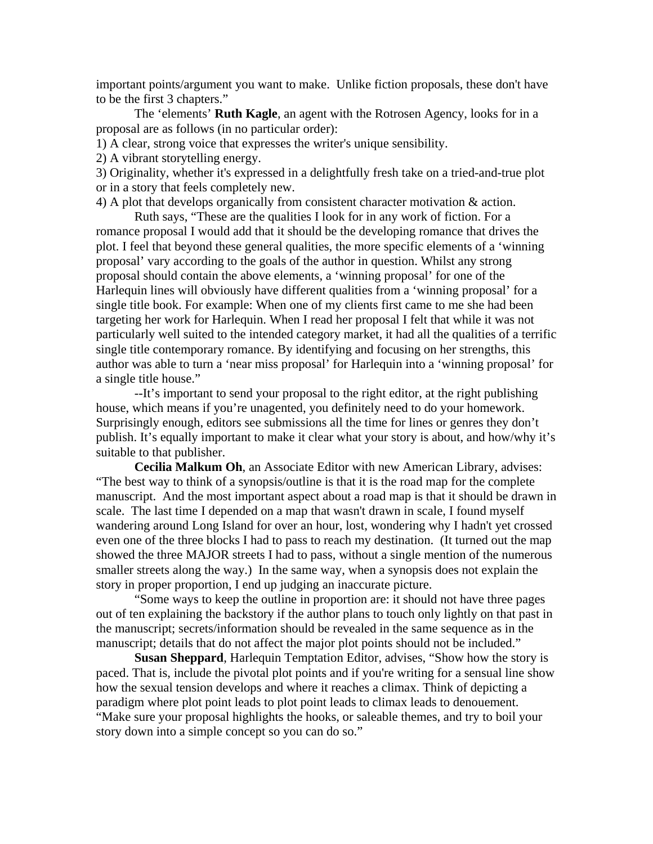important points/argument you want to make. Unlike fiction proposals, these don't have to be the first 3 chapters."

The 'elements' **Ruth Kagle**, an agent with the Rotrosen Agency, looks for in a proposal are as follows (in no particular order):

1) A clear, strong voice that expresses the writer's unique sensibility.

2) A vibrant storytelling energy.

3) Originality, whether it's expressed in a delightfully fresh take on a tried-and-true plot or in a story that feels completely new.

4) A plot that develops organically from consistent character motivation & action.

Ruth says, "These are the qualities I look for in any work of fiction. For a romance proposal I would add that it should be the developing romance that drives the plot. I feel that beyond these general qualities, the more specific elements of a 'winning proposal' vary according to the goals of the author in question. Whilst any strong proposal should contain the above elements, a 'winning proposal' for one of the Harlequin lines will obviously have different qualities from a 'winning proposal' for a single title book. For example: When one of my clients first came to me she had been targeting her work for Harlequin. When I read her proposal I felt that while it was not particularly well suited to the intended category market, it had all the qualities of a terrific single title contemporary romance. By identifying and focusing on her strengths, this author was able to turn a 'near miss proposal' for Harlequin into a 'winning proposal' for a single title house."

--It's important to send your proposal to the right editor, at the right publishing house, which means if you're unagented, you definitely need to do your homework. Surprisingly enough, editors see submissions all the time for lines or genres they don't publish. It's equally important to make it clear what your story is about, and how/why it's suitable to that publisher.

**Cecilia Malkum Oh**, an Associate Editor with new American Library, advises: "The best way to think of a synopsis/outline is that it is the road map for the complete manuscript. And the most important aspect about a road map is that it should be drawn in scale. The last time I depended on a map that wasn't drawn in scale, I found myself wandering around Long Island for over an hour, lost, wondering why I hadn't yet crossed even one of the three blocks I had to pass to reach my destination. (It turned out the map showed the three MAJOR streets I had to pass, without a single mention of the numerous smaller streets along the way.) In the same way, when a synopsis does not explain the story in proper proportion, I end up judging an inaccurate picture.

"Some ways to keep the outline in proportion are: it should not have three pages out of ten explaining the backstory if the author plans to touch only lightly on that past in the manuscript; secrets/information should be revealed in the same sequence as in the manuscript; details that do not affect the major plot points should not be included."

**Susan Sheppard**, Harlequin Temptation Editor, advises, "Show how the story is paced. That is, include the pivotal plot points and if you're writing for a sensual line show how the sexual tension develops and where it reaches a climax. Think of depicting a paradigm where plot point leads to plot point leads to climax leads to denouement. "Make sure your proposal highlights the hooks, or saleable themes, and try to boil your story down into a simple concept so you can do so."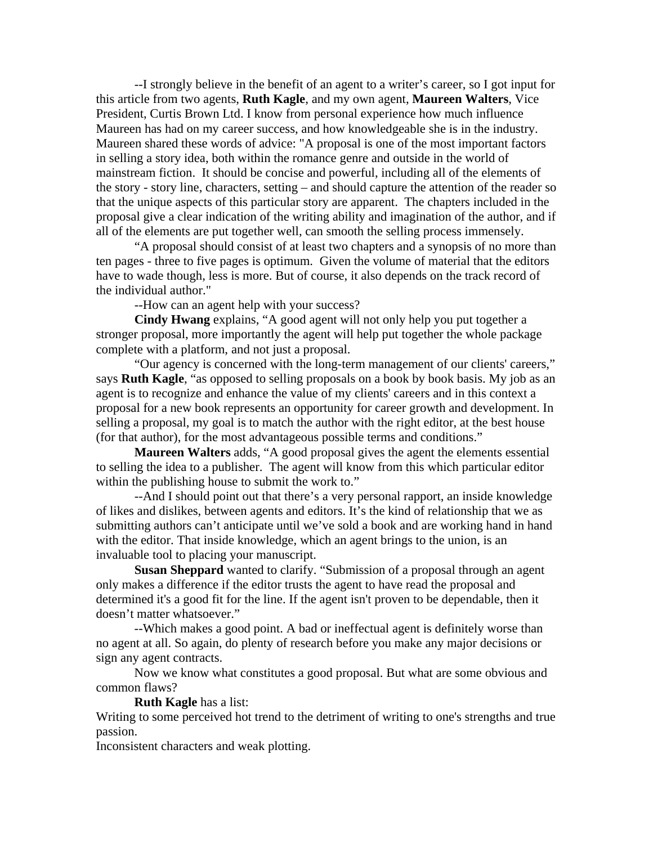--I strongly believe in the benefit of an agent to a writer's career, so I got input for this article from two agents, **Ruth Kagle**, and my own agent, **Maureen Walters**, Vice President, Curtis Brown Ltd. I know from personal experience how much influence Maureen has had on my career success, and how knowledgeable she is in the industry. Maureen shared these words of advice: "A proposal is one of the most important factors in selling a story idea, both within the romance genre and outside in the world of mainstream fiction. It should be concise and powerful, including all of the elements of the story - story line, characters, setting – and should capture the attention of the reader so that the unique aspects of this particular story are apparent. The chapters included in the proposal give a clear indication of the writing ability and imagination of the author, and if all of the elements are put together well, can smooth the selling process immensely.

"A proposal should consist of at least two chapters and a synopsis of no more than ten pages - three to five pages is optimum. Given the volume of material that the editors have to wade though, less is more. But of course, it also depends on the track record of the individual author."

--How can an agent help with your success?

**Cindy Hwang** explains, "A good agent will not only help you put together a stronger proposal, more importantly the agent will help put together the whole package complete with a platform, and not just a proposal.

"Our agency is concerned with the long-term management of our clients' careers," says **Ruth Kagle**, "as opposed to selling proposals on a book by book basis. My job as an agent is to recognize and enhance the value of my clients' careers and in this context a proposal for a new book represents an opportunity for career growth and development. In selling a proposal, my goal is to match the author with the right editor, at the best house (for that author), for the most advantageous possible terms and conditions."

**Maureen Walters** adds, "A good proposal gives the agent the elements essential to selling the idea to a publisher. The agent will know from this which particular editor within the publishing house to submit the work to."

--And I should point out that there's a very personal rapport, an inside knowledge of likes and dislikes, between agents and editors. It's the kind of relationship that we as submitting authors can't anticipate until we've sold a book and are working hand in hand with the editor. That inside knowledge, which an agent brings to the union, is an invaluable tool to placing your manuscript.

**Susan Sheppard** wanted to clarify. "Submission of a proposal through an agent only makes a difference if the editor trusts the agent to have read the proposal and determined it's a good fit for the line. If the agent isn't proven to be dependable, then it doesn't matter whatsoever."

--Which makes a good point. A bad or ineffectual agent is definitely worse than no agent at all. So again, do plenty of research before you make any major decisions or sign any agent contracts.

Now we know what constitutes a good proposal. But what are some obvious and common flaws?

**Ruth Kagle** has a list:

Writing to some perceived hot trend to the detriment of writing to one's strengths and true passion.

Inconsistent characters and weak plotting.